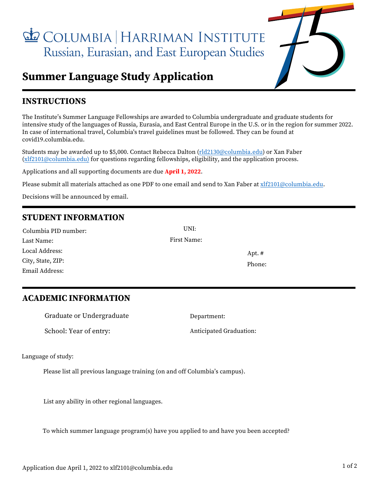COLUMBIA | HARRIMAN INSTITUTE Russian, Eurasian, and East European Studies



# **Summer Language Study Application**

# **INSTRUCTIONS**

The Institute's Summer Language Fellowships are awarded to Columbia undergraduate and graduate students for intensive study of the languages of Russia, Eurasia, and East Central Europe in the U.S. or in the region for summer 2022. In case of international travel, Columbia's travel guidelines must be followed. They can be found at covid19.columbia.edu.

Students may be awarded up to \$5,000. Contact Rebecca Dalton [\(rld2130@columbia.edu\)](mailto:rld2130@columbia.edu) or Xan Faber [\(xlf2101@columbia.edu\)](mailto:xlf2101@columbia.edu) for questions regarding fellowships, eligibility, and the application process.

Applications and all supporting documents are due **April 1, 2022**.

Please submit all materials attached as one PDF to one email and send to Xan Faber at xlf2101@columbia.edu.

Decisions will be announced by email.

# **STUDENT INFORMATION**

| Columbia PID number: | UNI:        |          |
|----------------------|-------------|----------|
| Last Name:           | First Name: |          |
| Local Address:       |             | Apt. $#$ |
| City, State, ZIP:    |             | Phone:   |
| Email Address:       |             |          |

## **ACADEMIC INFORMATION**

| Graduate or Undergraduate | Department:             |
|---------------------------|-------------------------|
| School: Year of entry:    | Anticipated Graduation: |

Language of study:

Please list all previous language training (on and off Columbia's campus).

List any ability in other regional languages.

To which summer language program(s) have you applied to and have you been accepted?